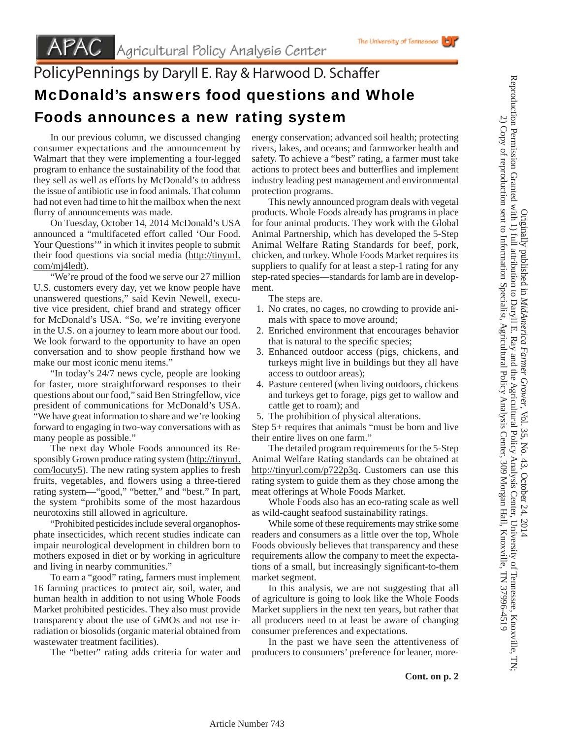## PolicyPennings by Daryll E. Ray & Harwood D. Schaffer McDonald's answers food questions and Whole Foods announces a new rating system

 In our previous column, we discussed changing consumer expectations and the announcement by Walmart that they were implementing a four-legged program to enhance the sustainability of the food that they sell as well as efforts by McDonald's to address the issue of antibiotic use in food animals. That column had not even had time to hit the mailbox when the next flurry of announcements was made.

 On Tuesday, October 14, 2014 McDonald's USA announced a "multifaceted effort called 'Our Food. Your Questions'" in which it invites people to submit their food questions via social media (http://tinyurl. com/mj4ledt).

"We're proud of the food we serve our 27 million" U.S. customers every day, yet we know people have unanswered questions," said Kevin Newell, executive vice president, chief brand and strategy officer for McDonald's USA. "So, we're inviting everyone in the U.S. on a journey to learn more about our food. We look forward to the opportunity to have an open conversation and to show people firsthand how we make our most iconic menu items."

 "In today's 24/7 news cycle, people are looking for faster, more straightforward responses to their questions about our food," said Ben Stringfellow, vice president of communications for McDonald's USA. "We have great information to share and we're looking forward to engaging in two-way conversations with as many people as possible."

 The next day Whole Foods announced its Responsibly Grown produce rating system (http://tinyurl. com/locuty5). The new rating system applies to fresh fruits, vegetables, and flowers using a three-tiered rating system—"good," "better," and "best." In part, the system "prohibits some of the most hazardous neurotoxins still allowed in agriculture.

 "Prohibited pesticides include several organophosphate insecticides, which recent studies indicate can impair neurological development in children born to mothers exposed in diet or by working in agriculture and living in nearby communities."

 To earn a "good" rating, farmers must implement 16 farming practices to protect air, soil, water, and human health in addition to not using Whole Foods Market prohibited pesticides. They also must provide transparency about the use of GMOs and not use irradiation or biosolids (organic material obtained from wastewater treatment facilities).

The "better" rating adds criteria for water and

energy conservation; advanced soil health; protecting rivers, lakes, and oceans; and farmworker health and safety. To achieve a "best" rating, a farmer must take actions to protect bees and butterflies and implement industry leading pest management and environmental protection programs.

 This newly announced program deals with vegetal products. Whole Foods already has programs in place for four animal products. They work with the Global Animal Partnership, which has developed the 5-Step Animal Welfare Rating Standards for beef, pork, chicken, and turkey. Whole Foods Market requires its suppliers to qualify for at least a step-1 rating for any step-rated species—standards for lamb are in development.

The steps are.

- 1. No crates, no cages, no crowding to provide animals with space to move around;
- 2. Enriched environment that encourages behavior that is natural to the specific species;
- 3. Enhanced outdoor access (pigs, chickens, and turkeys might live in buildings but they all have access to outdoor areas);
- 4. Pasture centered (when living outdoors, chickens and turkeys get to forage, pigs get to wallow and cattle get to roam); and
- 5. The prohibition of physical alterations.

Step 5+ requires that animals "must be born and live their entire lives on one farm."

 The detailed program requirements for the 5-Step Animal Welfare Rating standards can be obtained at http://tinyurl.com/p722p3q. Customers can use this rating system to guide them as they chose among the meat offerings at Whole Foods Market.

 Whole Foods also has an eco-rating scale as well as wild-caught seafood sustainability ratings.

 While some of these requirements may strike some readers and consumers as a little over the top, Whole Foods obviously believes that transparency and these requirements allow the company to meet the expectations of a small, but increasingly significant-to-them market segment.

 In this analysis, we are not suggesting that all of agriculture is going to look like the Whole Foods Market suppliers in the next ten years, but rather that all producers need to at least be aware of changing consumer preferences and expectations.

 In the past we have seen the attentiveness of producers to consumers' preference for leaner, more-

Article Number 743